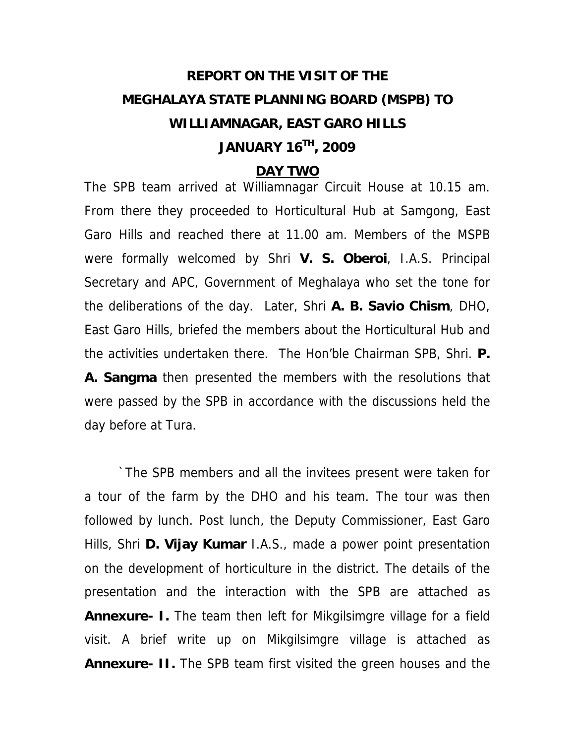### **REPORT ON THE VISIT OF THE MEGHALAYA STATE PLANNING BOARD (MSPB) TO WILLIAMNAGAR, EAST GARO HILLS JANUARY 16TH, 2009**

#### **DAY TWO**

The SPB team arrived at Williamnagar Circuit House at 10.15 am. From there they proceeded to Horticultural Hub at Samgong, East Garo Hills and reached there at 11.00 am. Members of the MSPB were formally welcomed by Shri **V. S. Oberoi**, I.A.S. Principal Secretary and APC, Government of Meghalaya who set the tone for the deliberations of the day. Later, Shri **A. B. Savio Chism**, DHO, East Garo Hills, briefed the members about the Horticultural Hub and the activities undertaken there. The Hon'ble Chairman SPB, Shri. **P. A. Sangma** then presented the members with the resolutions that were passed by the SPB in accordance with the discussions held the day before at Tura.

 `The SPB members and all the invitees present were taken for a tour of the farm by the DHO and his team. The tour was then followed by lunch. Post lunch, the Deputy Commissioner, East Garo Hills, Shri **D. Vijay Kumar** I.A.S., made a power point presentation on the development of horticulture in the district. The details of the presentation and the interaction with the SPB are attached as **Annexure- I.** The team then left for Mikgilsimgre village for a field visit. A brief write up on Mikgilsimgre village is attached as **Annexure- II.** The SPB team first visited the green houses and the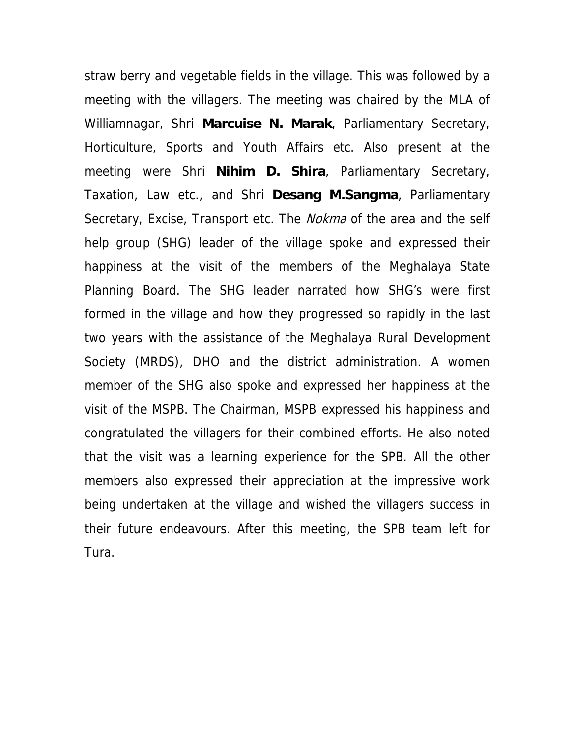straw berry and vegetable fields in the village. This was followed by a meeting with the villagers. The meeting was chaired by the MLA of Williamnagar, Shri **Marcuise N. Marak**, Parliamentary Secretary, Horticulture, Sports and Youth Affairs etc. Also present at the meeting were Shri **Nihim D. Shira**, Parliamentary Secretary, Taxation, Law etc., and Shri **Desang M.Sangma**, Parliamentary Secretary, Excise, Transport etc. The *Nokma* of the area and the self help group (SHG) leader of the village spoke and expressed their happiness at the visit of the members of the Meghalaya State Planning Board. The SHG leader narrated how SHG's were first formed in the village and how they progressed so rapidly in the last two years with the assistance of the Meghalaya Rural Development Society (MRDS), DHO and the district administration. A women member of the SHG also spoke and expressed her happiness at the visit of the MSPB. The Chairman, MSPB expressed his happiness and congratulated the villagers for their combined efforts. He also noted that the visit was a learning experience for the SPB. All the other members also expressed their appreciation at the impressive work being undertaken at the village and wished the villagers success in their future endeavours. After this meeting, the SPB team left for Tura.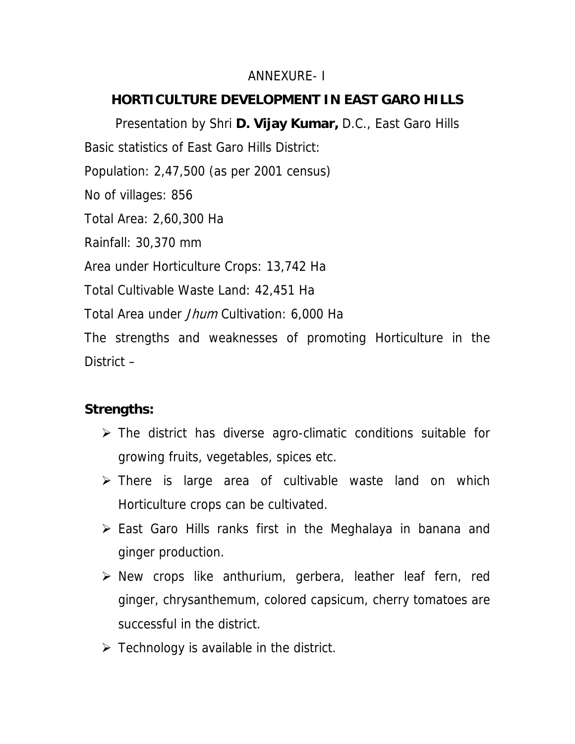### ANNEXURE- I

### **HORTICULTURE DEVELOPMENT IN EAST GARO HILLS**

Presentation by Shri **D. Vijay Kumar,** D.C., East Garo Hills Basic statistics of East Garo Hills District: Population: 2,47,500 (as per 2001 census) No of villages: 856 Total Area: 2,60,300 Ha Rainfall: 30,370 mm Area under Horticulture Crops: 13,742 Ha Total Cultivable Waste Land: 42,451 Ha Total Area under *Jhum* Cultivation: 6,000 Ha The strengths and weaknesses of promoting Horticulture in the District –

### **Strengths:**

- $\triangleright$  The district has diverse agro-climatic conditions suitable for growing fruits, vegetables, spices etc.
- ¾ There is large area of cultivable waste land on which Horticulture crops can be cultivated.
- $\triangleright$  East Garo Hills ranks first in the Meghalaya in banana and ginger production.
- $\triangleright$  New crops like anthurium, gerbera, leather leaf fern, red ginger, chrysanthemum, colored capsicum, cherry tomatoes are successful in the district.
- $\triangleright$  Technology is available in the district.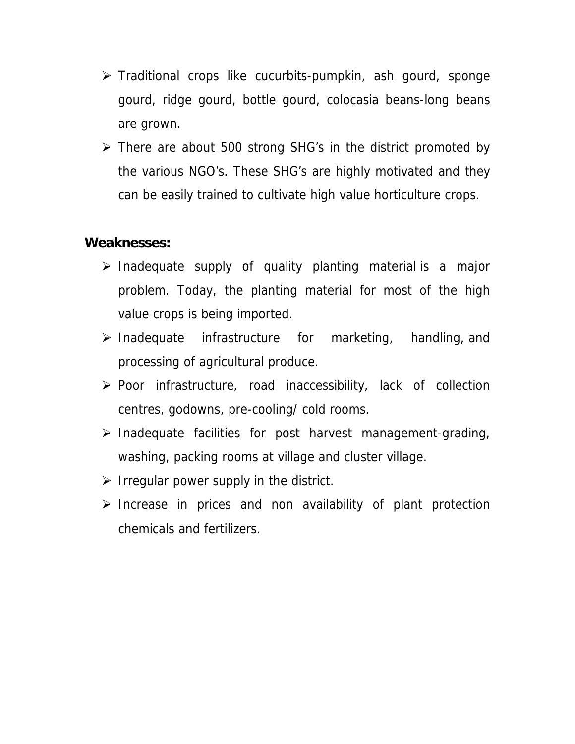- $\triangleright$  Traditional crops like cucurbits-pumpkin, ash gourd, sponge gourd, ridge gourd, bottle gourd, colocasia beans-long beans are grown.
- $\triangleright$  There are about 500 strong SHG's in the district promoted by the various NGO's. These SHG's are highly motivated and they can be easily trained to cultivate high value horticulture crops.

### **Weaknesses:**

- $\triangleright$  Inadequate supply of quality planting material is a major problem. Today, the planting material for most of the high value crops is being imported.
- ¾ Inadequate infrastructure for marketing, handling, and processing of agricultural produce.
- $\triangleright$  Poor infrastructure, road inaccessibility, lack of collection centres, godowns, pre-cooling/ cold rooms.
- $\triangleright$  Inadequate facilities for post harvest management-grading, washing, packing rooms at village and cluster village.
- $\triangleright$  Irregular power supply in the district.
- $\triangleright$  Increase in prices and non availability of plant protection chemicals and fertilizers.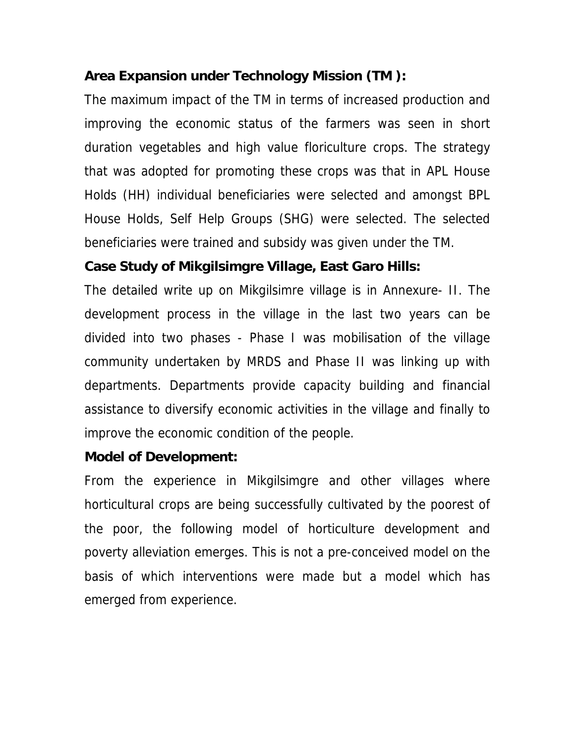### **Area Expansion under Technology Mission (TM ):**

The maximum impact of the TM in terms of increased production and improving the economic status of the farmers was seen in short duration vegetables and high value floriculture crops. The strategy that was adopted for promoting these crops was that in APL House Holds (HH) individual beneficiaries were selected and amongst BPL House Holds, Self Help Groups (SHG) were selected. The selected beneficiaries were trained and subsidy was given under the TM.

### **Case Study of Mikgilsimgre Village, East Garo Hills:**

The detailed write up on Mikgilsimre village is in Annexure- II. The development process in the village in the last two years can be divided into two phases - Phase I was mobilisation of the village community undertaken by MRDS and Phase II was linking up with departments. Departments provide capacity building and financial assistance to diversify economic activities in the village and finally to improve the economic condition of the people.

### **Model of Development:**

From the experience in Mikgilsimgre and other villages where horticultural crops are being successfully cultivated by the poorest of the poor, the following model of horticulture development and poverty alleviation emerges. This is not a pre-conceived model on the basis of which interventions were made but a model which has emerged from experience.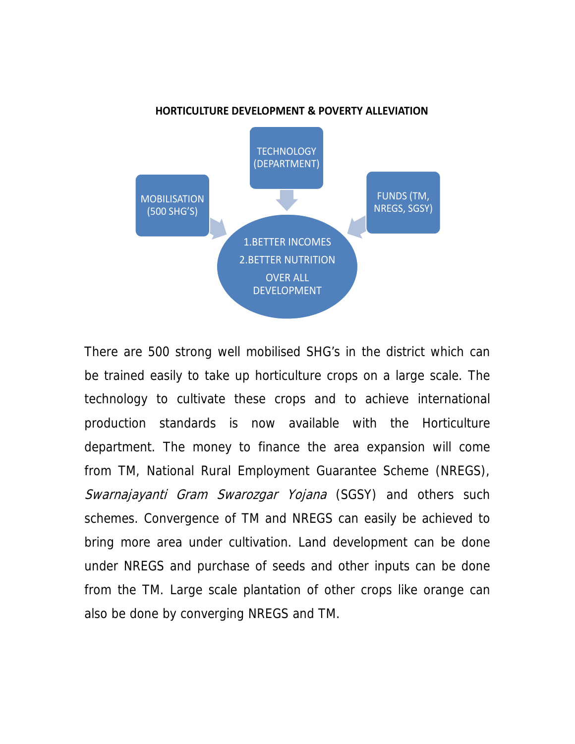

## There are 500 strong well mobilised SHG's in the district which can be trained easily to take up horticulture crops on a large scale. The technology to cultivate these crops and to achieve international production standards is now available with the Horticulture department. The money to finance the area expansion will come from TM, National Rural Employment Guarantee Scheme (NREGS), Swarnajayanti Gram Swarozgar Yojana (SGSY) and others such schemes. Convergence of TM and NREGS can easily be achieved to bring more area under cultivation. Land development can be done under NREGS and purchase of seeds and other inputs can be done from the TM. Large scale plantation of other crops like orange can also be done by converging NREGS and TM.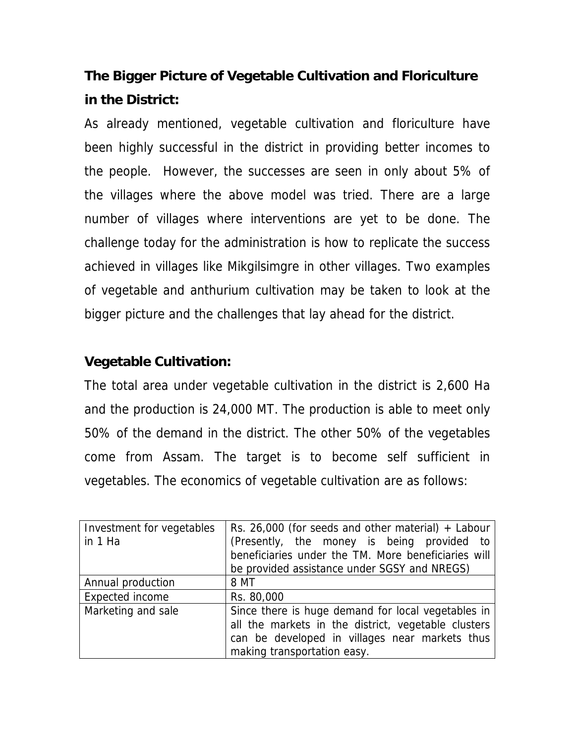### **The Bigger Picture of Vegetable Cultivation and Floriculture in the District:**

As already mentioned, vegetable cultivation and floriculture have been highly successful in the district in providing better incomes to the people. However, the successes are seen in only about 5% of the villages where the above model was tried. There are a large number of villages where interventions are yet to be done. The challenge today for the administration is how to replicate the success achieved in villages like Mikgilsimgre in other villages. Two examples of vegetable and anthurium cultivation may be taken to look at the bigger picture and the challenges that lay ahead for the district.

### **Vegetable Cultivation:**

The total area under vegetable cultivation in the district is 2,600 Ha and the production is 24,000 MT. The production is able to meet only 50% of the demand in the district. The other 50% of the vegetables come from Assam. The target is to become self sufficient in vegetables. The economics of vegetable cultivation are as follows:

| Investment for vegetables | Rs. 26,000 (for seeds and other material) $+$ Labour |  |  |  |  |
|---------------------------|------------------------------------------------------|--|--|--|--|
| in 1 Ha                   | (Presently, the money is being provided to           |  |  |  |  |
|                           | beneficiaries under the TM. More beneficiaries will  |  |  |  |  |
|                           | be provided assistance under SGSY and NREGS)         |  |  |  |  |
| Annual production         | 8 MT                                                 |  |  |  |  |
| Expected income           | Rs. 80,000                                           |  |  |  |  |
| Marketing and sale        | Since there is huge demand for local vegetables in   |  |  |  |  |
|                           | all the markets in the district, vegetable clusters  |  |  |  |  |
|                           | can be developed in villages near markets thus       |  |  |  |  |
|                           |                                                      |  |  |  |  |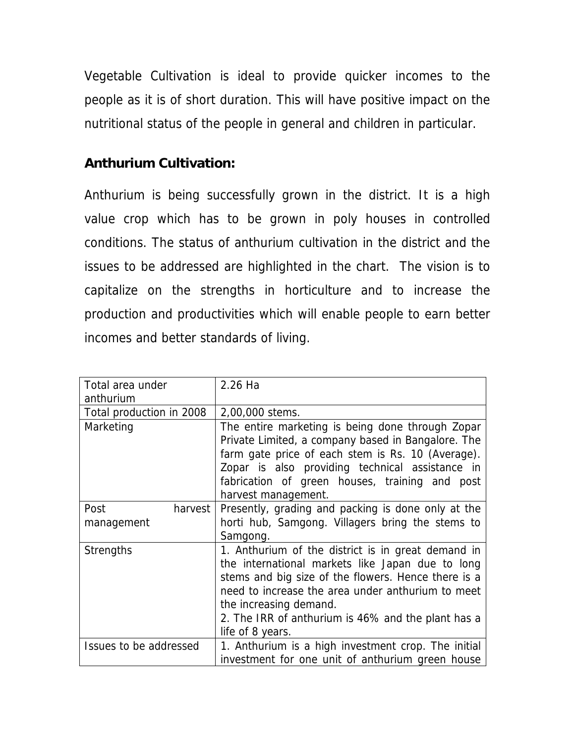Vegetable Cultivation is ideal to provide quicker incomes to the people as it is of short duration. This will have positive impact on the nutritional status of the people in general and children in particular.

### **Anthurium Cultivation:**

Anthurium is being successfully grown in the district. It is a high value crop which has to be grown in poly houses in controlled conditions. The status of anthurium cultivation in the district and the issues to be addressed are highlighted in the chart. The vision is to capitalize on the strengths in horticulture and to increase the production and productivities which will enable people to earn better incomes and better standards of living.

| Total area under<br>anthurium   | 2.26 Ha                                                                                                                                                                                                                                                                                                                |  |  |
|---------------------------------|------------------------------------------------------------------------------------------------------------------------------------------------------------------------------------------------------------------------------------------------------------------------------------------------------------------------|--|--|
| Total production in 2008        | 2,00,000 stems.                                                                                                                                                                                                                                                                                                        |  |  |
| Marketing                       | The entire marketing is being done through Zopar<br>Private Limited, a company based in Bangalore. The<br>farm gate price of each stem is Rs. 10 (Average).<br>Zopar is also providing technical assistance in<br>fabrication of green houses, training and post<br>harvest management.                                |  |  |
| Post<br>harvest  <br>management | Presently, grading and packing is done only at the<br>horti hub, Samgong. Villagers bring the stems to<br>Samgong.                                                                                                                                                                                                     |  |  |
| <b>Strengths</b>                | 1. Anthurium of the district is in great demand in<br>the international markets like Japan due to long<br>stems and big size of the flowers. Hence there is a<br>need to increase the area under anthurium to meet<br>the increasing demand.<br>2. The IRR of anthurium is 46% and the plant has a<br>life of 8 years. |  |  |
| Issues to be addressed          | 1. Anthurium is a high investment crop. The initial<br>investment for one unit of anthurium green house                                                                                                                                                                                                                |  |  |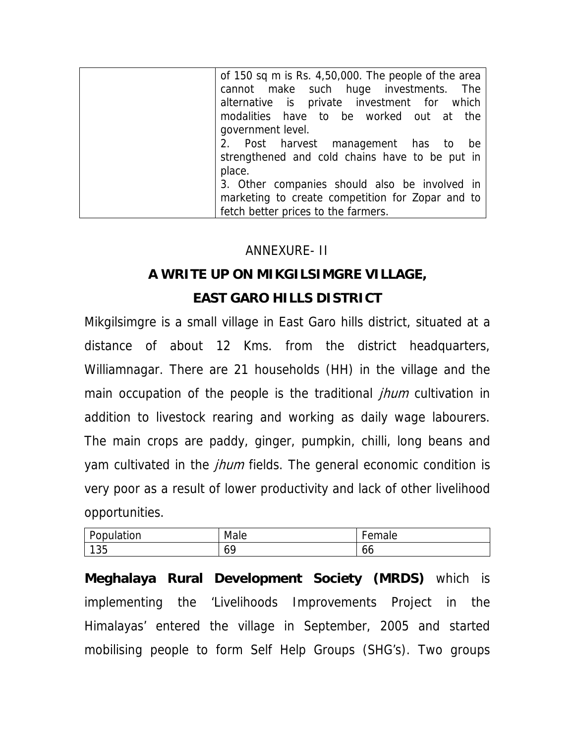| of 150 sq m is Rs. 4,50,000. The people of the area |
|-----------------------------------------------------|
| cannot make such huge investments. The              |
| alternative is private investment for which         |
| modalities have to be worked out at the             |
| government level.                                   |
| 2. Post harvest management has to<br>be             |
| strengthened and cold chains have to be put in      |
| place.                                              |
| 3. Other companies should also be involved in       |
| marketing to create competition for Zopar and to    |
| fetch better prices to the farmers.                 |

### ANNEXURE- II

# **A WRITE UP ON MIKGILSIMGRE VILLAGE,**

### **EAST GARO HILLS DISTRICT**

Mikgilsimgre is a small village in East Garo hills district, situated at a distance of about 12 Kms. from the district headquarters, Williamnagar. There are 21 households (HH) in the village and the main occupation of the people is the traditional *jhum* cultivation in addition to livestock rearing and working as daily wage labourers. The main crops are paddy, ginger, pumpkin, chilli, long beans and yam cultivated in the *jhum* fields. The general economic condition is very poor as a result of lower productivity and lack of other livelihood opportunities.

| Population | Male | $\sim$ $\sim$ $\sim$ $\sim$<br>паю<br>◡ |
|------------|------|-----------------------------------------|
| 135        | 69   | oo                                      |

**Meghalaya Rural Development Society (MRDS)** which is implementing the 'Livelihoods Improvements Project in the Himalayas' entered the village in September, 2005 and started mobilising people to form Self Help Groups (SHG's). Two groups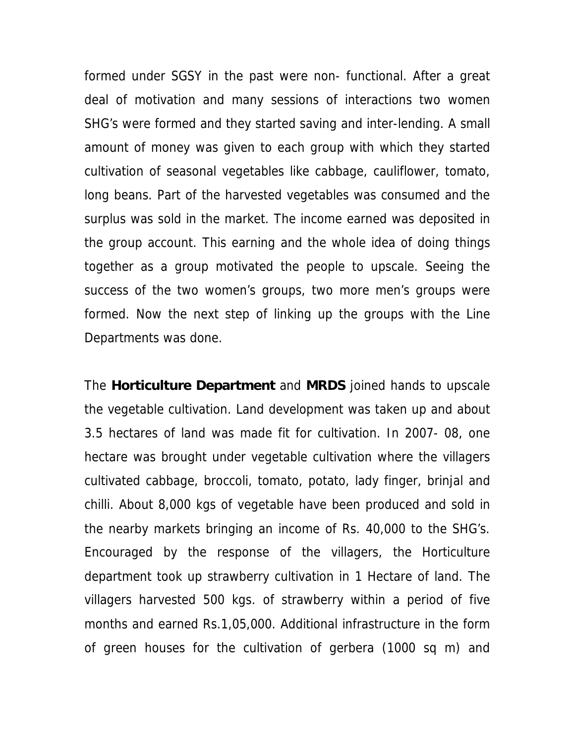formed under SGSY in the past were non- functional. After a great deal of motivation and many sessions of interactions two women SHG's were formed and they started saving and inter-lending. A small amount of money was given to each group with which they started cultivation of seasonal vegetables like cabbage, cauliflower, tomato, long beans. Part of the harvested vegetables was consumed and the surplus was sold in the market. The income earned was deposited in the group account. This earning and the whole idea of doing things together as a group motivated the people to upscale. Seeing the success of the two women's groups, two more men's groups were formed. Now the next step of linking up the groups with the Line Departments was done.

The **Horticulture Department** and **MRDS** joined hands to upscale the vegetable cultivation. Land development was taken up and about 3.5 hectares of land was made fit for cultivation. In 2007- 08, one hectare was brought under vegetable cultivation where the villagers cultivated cabbage, broccoli, tomato, potato, lady finger, brinjal and chilli. About 8,000 kgs of vegetable have been produced and sold in the nearby markets bringing an income of Rs. 40,000 to the SHG's. Encouraged by the response of the villagers, the Horticulture department took up strawberry cultivation in 1 Hectare of land. The villagers harvested 500 kgs. of strawberry within a period of five months and earned Rs.1,05,000. Additional infrastructure in the form of green houses for the cultivation of gerbera (1000 sq m) and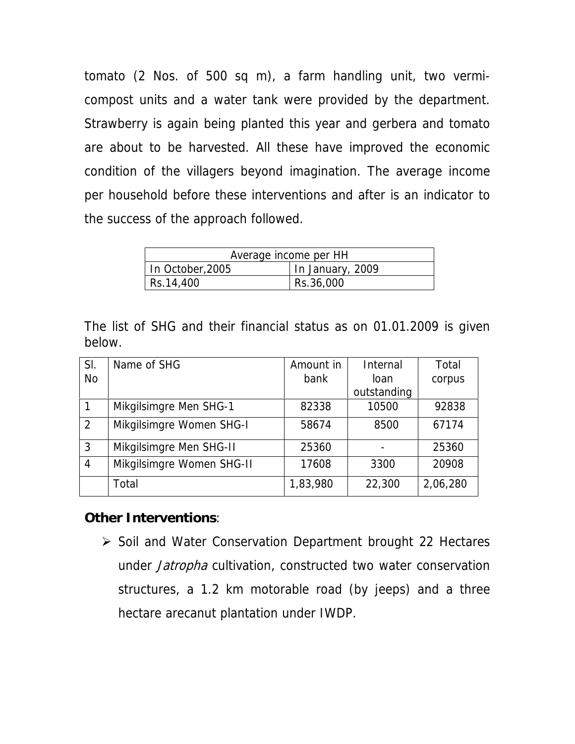tomato (2 Nos. of 500 sq m), a farm handling unit, two vermicompost units and a water tank were provided by the department. Strawberry is again being planted this year and gerbera and tomato are about to be harvested. All these have improved the economic condition of the villagers beyond imagination. The average income per household before these interventions and after is an indicator to the success of the approach followed.

| Average income per HH |                  |  |  |  |
|-----------------------|------------------|--|--|--|
| In October, 2005      | In January, 2009 |  |  |  |
| Rs.14,400             | Rs.36,000        |  |  |  |

The list of SHG and their financial status as on 01.01.2009 is given below.

| SI.          | Name of SHG               | Amount in | Internal    | Total    |
|--------------|---------------------------|-----------|-------------|----------|
| No           |                           | bank      | loan        | corpus   |
|              |                           |           | outstanding |          |
| $\mathbf{1}$ | Mikgilsimgre Men SHG-1    | 82338     | 10500       | 92838    |
| 2            | Mikgilsimgre Women SHG-I  | 58674     | 8500        | 67174    |
| 3            | Mikgilsimgre Men SHG-II   | 25360     |             | 25360    |
| 4            | Mikgilsimgre Women SHG-II | 17608     | 3300        | 20908    |
|              | Total                     | 1,83,980  | 22,300      | 2,06,280 |

### **Other Interventions**:

¾ Soil and Water Conservation Department brought 22 Hectares under Jatropha cultivation, constructed two water conservation structures, a 1.2 km motorable road (by jeeps) and a three hectare arecanut plantation under IWDP.